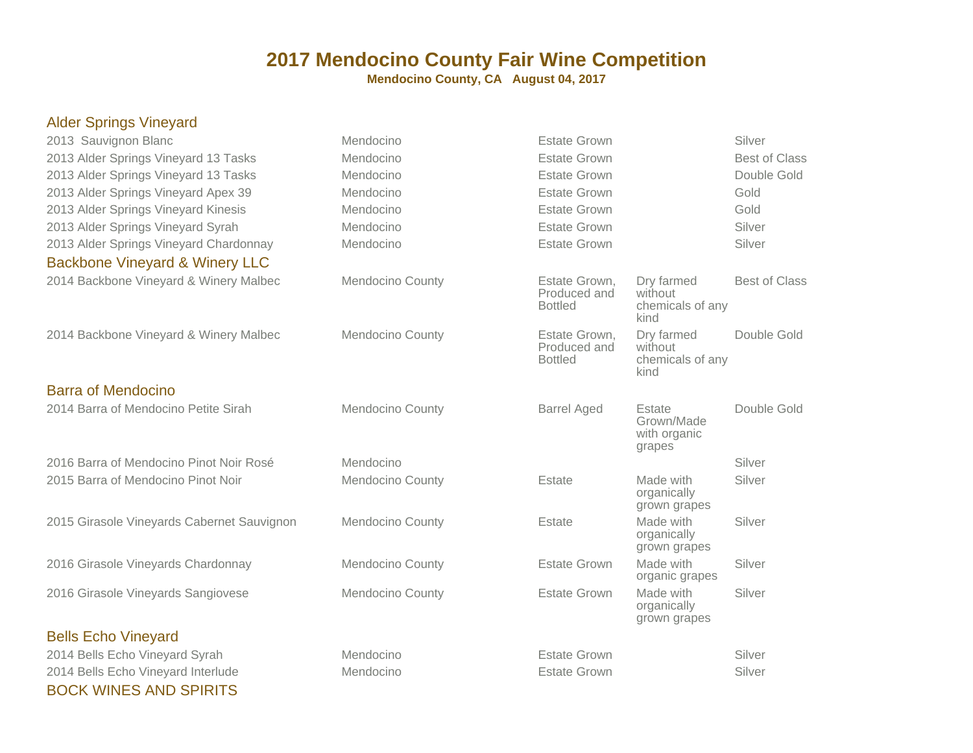| <b>Alder Springs Vineyard</b>              |                         |                                                 |                                                   |                      |
|--------------------------------------------|-------------------------|-------------------------------------------------|---------------------------------------------------|----------------------|
| 2013 Sauvignon Blanc                       | Mendocino               | <b>Estate Grown</b>                             |                                                   | Silver               |
| 2013 Alder Springs Vineyard 13 Tasks       | Mendocino               | <b>Estate Grown</b>                             |                                                   | <b>Best of Class</b> |
| 2013 Alder Springs Vineyard 13 Tasks       | Mendocino               | <b>Estate Grown</b>                             |                                                   | Double Gold          |
| 2013 Alder Springs Vineyard Apex 39        | Mendocino               | <b>Estate Grown</b>                             |                                                   | Gold                 |
| 2013 Alder Springs Vineyard Kinesis        | Mendocino               | <b>Estate Grown</b>                             |                                                   | Gold                 |
| 2013 Alder Springs Vineyard Syrah          | Mendocino               | <b>Estate Grown</b>                             |                                                   | Silver               |
| 2013 Alder Springs Vineyard Chardonnay     | Mendocino               | <b>Estate Grown</b>                             |                                                   | Silver               |
| <b>Backbone Vineyard &amp; Winery LLC</b>  |                         |                                                 |                                                   |                      |
| 2014 Backbone Vineyard & Winery Malbec     | <b>Mendocino County</b> | Estate Grown,<br>Produced and<br><b>Bottled</b> | Dry farmed<br>without<br>chemicals of any<br>kind | <b>Best of Class</b> |
| 2014 Backbone Vineyard & Winery Malbec     | Mendocino County        | Estate Grown,<br>Produced and<br><b>Bottled</b> | Dry farmed<br>without<br>chemicals of any<br>kind | Double Gold          |
| <b>Barra of Mendocino</b>                  |                         |                                                 |                                                   |                      |
| 2014 Barra of Mendocino Petite Sirah       | <b>Mendocino County</b> | <b>Barrel Aged</b>                              | Estate<br>Grown/Made<br>with organic<br>grapes    | Double Gold          |
| 2016 Barra of Mendocino Pinot Noir Rosé    | Mendocino               |                                                 |                                                   | Silver               |
| 2015 Barra of Mendocino Pinot Noir         | <b>Mendocino County</b> | Estate                                          | Made with<br>organically<br>grown grapes          | Silver               |
| 2015 Girasole Vineyards Cabernet Sauvignon | Mendocino County        | Estate                                          | Made with<br>organically<br>grown grapes          | Silver               |
| 2016 Girasole Vineyards Chardonnay         | Mendocino County        | <b>Estate Grown</b>                             | Made with<br>organic grapes                       | Silver               |
| 2016 Girasole Vineyards Sangiovese         | Mendocino County        | <b>Estate Grown</b>                             | Made with<br>organically<br>grown grapes          | Silver               |
| <b>Bells Echo Vineyard</b>                 |                         |                                                 |                                                   |                      |
| 2014 Bells Echo Vineyard Syrah             | Mendocino               | <b>Estate Grown</b>                             |                                                   | Silver               |
| 2014 Bells Echo Vineyard Interlude         | Mendocino               | <b>Estate Grown</b>                             |                                                   | Silver               |
| <b>BOCK WINES AND SPIRITS</b>              |                         |                                                 |                                                   |                      |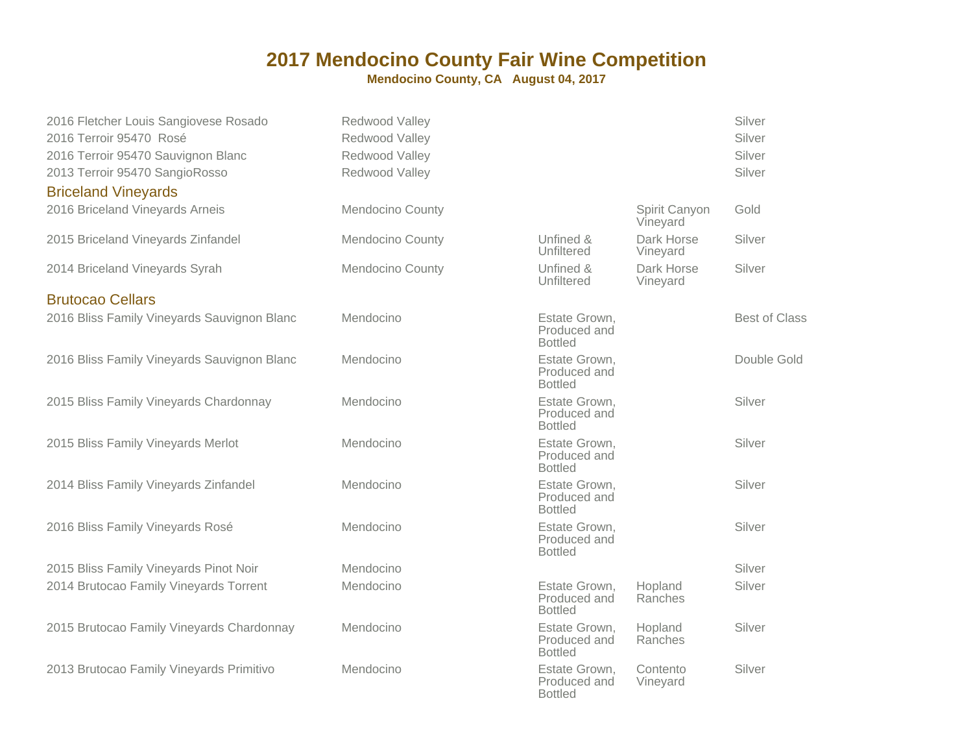#### **2017 Mendocino County Fair Wine Competition**

**Mendocino County, CA August 04, 2017**

| 2016 Fletcher Louis Sangiovese Rosado       | Redwood Valley   |                                                 |                           | Silver               |
|---------------------------------------------|------------------|-------------------------------------------------|---------------------------|----------------------|
| 2016 Terroir 95470 Rosé                     | Redwood Valley   |                                                 |                           | Silver               |
| 2016 Terroir 95470 Sauvignon Blanc          | Redwood Valley   |                                                 |                           | Silver               |
| 2013 Terroir 95470 SangioRosso              | Redwood Valley   |                                                 |                           | Silver               |
| <b>Briceland Vineyards</b>                  |                  |                                                 |                           |                      |
| 2016 Briceland Vineyards Arneis             | Mendocino County |                                                 | Spirit Canyon<br>Vineyard | Gold                 |
| 2015 Briceland Vineyards Zinfandel          | Mendocino County | Unfined &<br>Unfiltered                         | Dark Horse<br>Vineyard    | Silver               |
| 2014 Briceland Vineyards Syrah              | Mendocino County | Unfined &<br>Unfiltered                         | Dark Horse<br>Vineyard    | Silver               |
| <b>Brutocao Cellars</b>                     |                  |                                                 |                           |                      |
| 2016 Bliss Family Vineyards Sauvignon Blanc | Mendocino        | Estate Grown,<br>Produced and<br><b>Bottled</b> |                           | <b>Best of Class</b> |
| 2016 Bliss Family Vineyards Sauvignon Blanc | Mendocino        | Estate Grown,<br>Produced and<br><b>Bottled</b> |                           | Double Gold          |
| 2015 Bliss Family Vineyards Chardonnay      | Mendocino        | Estate Grown,<br>Produced and<br><b>Bottled</b> |                           | Silver               |
| 2015 Bliss Family Vineyards Merlot          | Mendocino        | Estate Grown,<br>Produced and<br><b>Bottled</b> |                           | Silver               |
| 2014 Bliss Family Vineyards Zinfandel       | Mendocino        | Estate Grown,<br>Produced and<br><b>Bottled</b> |                           | Silver               |
| 2016 Bliss Family Vineyards Rosé            | Mendocino        | Estate Grown,<br>Produced and<br><b>Bottled</b> |                           | Silver               |
| 2015 Bliss Family Vineyards Pinot Noir      | Mendocino        |                                                 |                           | Silver               |
| 2014 Brutocao Family Vineyards Torrent      | Mendocino        | Estate Grown,<br>Produced and<br><b>Bottled</b> | Hopland<br>Ranches        | Silver               |
| 2015 Brutocao Family Vineyards Chardonnay   | Mendocino        | Estate Grown,<br>Produced and<br><b>Bottled</b> | Hopland<br>Ranches        | Silver               |
| 2013 Brutocao Family Vineyards Primitivo    | Mendocino        | Estate Grown,<br>Produced and<br><b>Bottled</b> | Contento<br>Vineyard      | Silver               |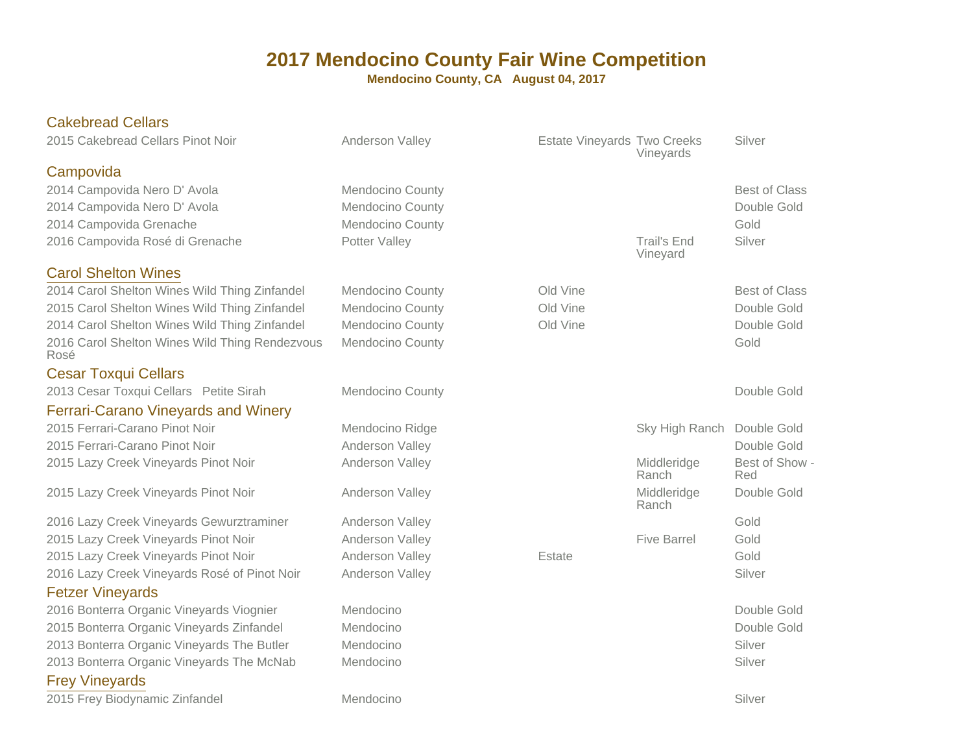| <b>Cakebread Cellars</b>                               |                         |                             |                      |                            |
|--------------------------------------------------------|-------------------------|-----------------------------|----------------------|----------------------------|
| 2015 Cakebread Cellars Pinot Noir                      | Anderson Valley         | Estate Vineyards Two Creeks | Vineyards            | Silver                     |
| Campovida                                              |                         |                             |                      |                            |
| 2014 Campovida Nero D' Avola                           | Mendocino County        |                             |                      | <b>Best of Class</b>       |
| 2014 Campovida Nero D' Avola                           | <b>Mendocino County</b> |                             |                      | Double Gold                |
| 2014 Campovida Grenache                                | Mendocino County        |                             |                      | Gold                       |
| 2016 Campovida Rosé di Grenache                        | Potter Valley           |                             | <b>Trail's End</b>   | Silver                     |
|                                                        |                         |                             | Vineyard             |                            |
| <b>Carol Shelton Wines</b>                             |                         |                             |                      |                            |
| 2014 Carol Shelton Wines Wild Thing Zinfandel          | Mendocino County        | Old Vine                    |                      | <b>Best of Class</b>       |
| 2015 Carol Shelton Wines Wild Thing Zinfandel          | <b>Mendocino County</b> | Old Vine<br>Old Vine        |                      | Double Gold<br>Double Gold |
| 2014 Carol Shelton Wines Wild Thing Zinfandel          | Mendocino County        |                             |                      | Gold                       |
| 2016 Carol Shelton Wines Wild Thing Rendezvous<br>Rosé | Mendocino County        |                             |                      |                            |
| <b>Cesar Toxqui Cellars</b>                            |                         |                             |                      |                            |
| 2013 Cesar Toxqui Cellars Petite Sirah                 | <b>Mendocino County</b> |                             |                      | Double Gold                |
| <b>Ferrari-Carano Vineyards and Winery</b>             |                         |                             |                      |                            |
| 2015 Ferrari-Carano Pinot Noir                         | Mendocino Ridge         |                             | Sky High Ranch       | Double Gold                |
| 2015 Ferrari-Carano Pinot Noir                         | Anderson Valley         |                             |                      | Double Gold                |
| 2015 Lazy Creek Vineyards Pinot Noir                   | Anderson Valley         |                             | Middleridge<br>Ranch | Best of Show -<br>Red      |
| 2015 Lazy Creek Vineyards Pinot Noir                   | Anderson Valley         |                             | Middleridge<br>Ranch | Double Gold                |
| 2016 Lazy Creek Vineyards Gewurztraminer               | Anderson Valley         |                             |                      | Gold                       |
| 2015 Lazy Creek Vineyards Pinot Noir                   | Anderson Valley         |                             | <b>Five Barrel</b>   | Gold                       |
| 2015 Lazy Creek Vineyards Pinot Noir                   | Anderson Valley         | Estate                      |                      | Gold                       |
| 2016 Lazy Creek Vineyards Rosé of Pinot Noir           | Anderson Valley         |                             |                      | Silver                     |
| <b>Fetzer Vineyards</b>                                |                         |                             |                      |                            |
| 2016 Bonterra Organic Vineyards Viognier               | Mendocino               |                             |                      | Double Gold                |
| 2015 Bonterra Organic Vineyards Zinfandel              | Mendocino               |                             |                      | Double Gold                |
| 2013 Bonterra Organic Vineyards The Butler             | Mendocino               |                             |                      | Silver                     |
| 2013 Bonterra Organic Vineyards The McNab              | Mendocino               |                             |                      | Silver                     |
| <b>Frey Vineyards</b>                                  |                         |                             |                      |                            |
| 2015 Frey Biodynamic Zinfandel                         | Mendocino               |                             |                      | Silver                     |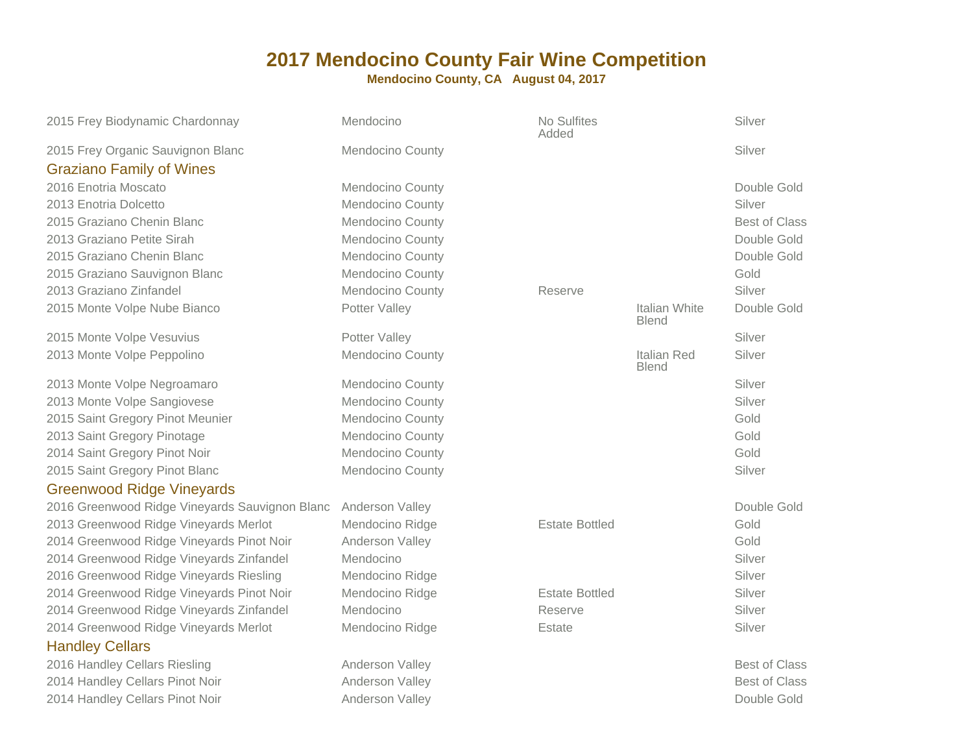| 2015 Frey Biodynamic Chardonnay                | Mendocino               | No Sulfites<br>Added  |                               | Silver               |
|------------------------------------------------|-------------------------|-----------------------|-------------------------------|----------------------|
| 2015 Frey Organic Sauvignon Blanc              | <b>Mendocino County</b> |                       |                               | Silver               |
| <b>Graziano Family of Wines</b>                |                         |                       |                               |                      |
| 2016 Enotria Moscato                           | Mendocino County        |                       |                               | Double Gold          |
| 2013 Enotria Dolcetto                          | Mendocino County        |                       |                               | Silver               |
| 2015 Graziano Chenin Blanc                     | Mendocino County        |                       |                               | <b>Best of Class</b> |
| 2013 Graziano Petite Sirah                     | <b>Mendocino County</b> |                       |                               | Double Gold          |
| 2015 Graziano Chenin Blanc                     | Mendocino County        |                       |                               | Double Gold          |
| 2015 Graziano Sauvignon Blanc                  | <b>Mendocino County</b> |                       |                               | Gold                 |
| 2013 Graziano Zinfandel                        | Mendocino County        | Reserve               |                               | Silver               |
| 2015 Monte Volpe Nube Bianco                   | Potter Valley           |                       | Italian White<br><b>Blend</b> | Double Gold          |
| 2015 Monte Volpe Vesuvius                      | Potter Valley           |                       |                               | Silver               |
| 2013 Monte Volpe Peppolino                     | Mendocino County        |                       | Italian Red<br><b>Blend</b>   | Silver               |
| 2013 Monte Volpe Negroamaro                    | Mendocino County        |                       |                               | Silver               |
| 2013 Monte Volpe Sangiovese                    | Mendocino County        |                       |                               | Silver               |
| 2015 Saint Gregory Pinot Meunier               | Mendocino County        |                       |                               | Gold                 |
| 2013 Saint Gregory Pinotage                    | Mendocino County        |                       |                               | Gold                 |
| 2014 Saint Gregory Pinot Noir                  | <b>Mendocino County</b> |                       |                               | Gold                 |
| 2015 Saint Gregory Pinot Blanc                 | Mendocino County        |                       |                               | Silver               |
| <b>Greenwood Ridge Vineyards</b>               |                         |                       |                               |                      |
| 2016 Greenwood Ridge Vineyards Sauvignon Blanc | Anderson Valley         |                       |                               | Double Gold          |
| 2013 Greenwood Ridge Vineyards Merlot          | Mendocino Ridge         | <b>Estate Bottled</b> |                               | Gold                 |
| 2014 Greenwood Ridge Vineyards Pinot Noir      | Anderson Valley         |                       |                               | Gold                 |
| 2014 Greenwood Ridge Vineyards Zinfandel       | Mendocino               |                       |                               | Silver               |
| 2016 Greenwood Ridge Vineyards Riesling        | Mendocino Ridge         |                       |                               | Silver               |
| 2014 Greenwood Ridge Vineyards Pinot Noir      | Mendocino Ridge         | <b>Estate Bottled</b> |                               | Silver               |
| 2014 Greenwood Ridge Vineyards Zinfandel       | Mendocino               | Reserve               |                               | Silver               |
| 2014 Greenwood Ridge Vineyards Merlot          | Mendocino Ridge         | Estate                |                               | Silver               |
| <b>Handley Cellars</b>                         |                         |                       |                               |                      |
| 2016 Handley Cellars Riesling                  | Anderson Valley         |                       |                               | <b>Best of Class</b> |
| 2014 Handley Cellars Pinot Noir                | Anderson Valley         |                       |                               | <b>Best of Class</b> |
| 2014 Handley Cellars Pinot Noir                | Anderson Valley         |                       |                               | Double Gold          |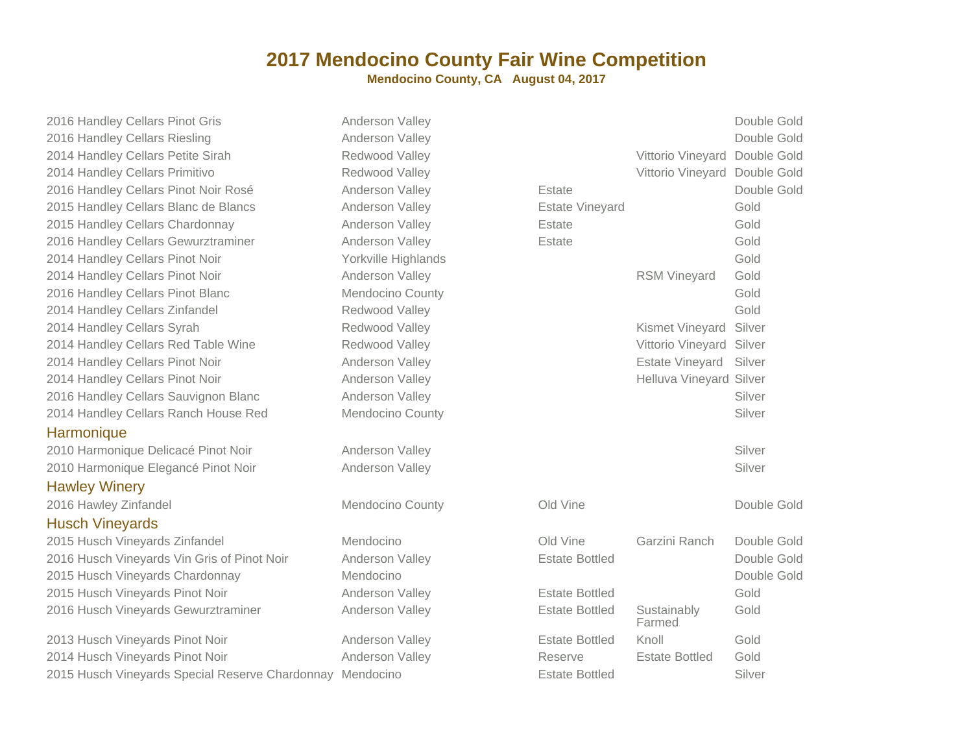#### **2017 Mendocino County Fair Wine Competition**

**Mendocino County, CA August 04, 2017**

2016 Handley Cellars Pinot Gris2016 Handley Cellars Riesling2014 Handley Cellars Petite Sirah2014 Handley Cellars Primitivo2016 Handley Cellars Pinot Noir Rosé2015 Handley Cellars Blanc de Blancs2015 Handley Cellars Chardonnay2016 Handley Cellars Gewurztraminer2014 Handley Cellars Pinot Noir2014 Handley Cellars Pinot Noir2016 Handley Cellars Pinot Blanc2014 Handley Cellars Zinfandel2014 Handley Cellars Syrah2014 Handley Cellars Red Table Wine2014 Handley Cellars Pinot Noir2014 Handley Cellars Pinot Noir2016 Handley Cellars Sauvignon Blanc2014 Handley Cellars Ranch House Red

#### **Harmonique**

 2010 Harmonique Delicacé Pinot Noir2010 Harmonique Elegancé Pinot Noir

Hawley Winery

2016 Hawley Zinfandel

#### Husch Vineyards

 2015 Husch Vineyards Zinfandel2016 Husch Vineyards Vin Gris of Pinot Noir2015 Husch Vineyards Chardonnay2015 Husch Vineyards Pinot Noir2016 Husch Vineyards Gewurztraminer

2013 Husch Vineyards Pinot Noir Anderson Valley2014 Husch Vineyards Pinot Noir Anderson Valley2015 Husch Vineyards Special Reserve Chardonnay Mendocino

| Gris                            | Anderson Valley         |                        |                               | Double Gold |
|---------------------------------|-------------------------|------------------------|-------------------------------|-------------|
| g                               | Anderson Valley         |                        |                               | Double Gold |
| Sirah                           | Redwood Valley          |                        | Vittorio Vineyard             | Double Gold |
| /0                              | Redwood Valley          |                        | Vittorio Vineyard Double Gold |             |
| Joir Rosé                       | Anderson Valley         | Estate                 |                               | Double Gold |
| de Blancs                       | Anderson Valley         | <b>Estate Vineyard</b> |                               | Gold        |
| onnay                           | Anderson Valley         | Estate                 |                               | Gold        |
| ztraminer                       | Anderson Valley         | Estate                 |                               | Gold        |
| loir                            | Yorkville Highlands     |                        |                               | Gold        |
| loir                            | Anderson Valley         |                        | <b>RSM Vineyard</b>           | Gold        |
| <b>lanc</b>                     | Mendocino County        |                        |                               | Gold        |
| del                             | Redwood Valley          |                        |                               | Gold        |
|                                 | Redwood Valley          |                        | Kismet Vineyard               | Silver      |
| able Wine                       | Redwood Valley          |                        | Vittorio Vineyard             | Silver      |
| loir                            | Anderson Valley         |                        | Estate Vineyard               | Silver      |
| loir                            | Anderson Valley         |                        | Helluva Vineyard Silver       |             |
| non Blanc                       | Anderson Valley         |                        |                               | Silver      |
| House Red                       | <b>Mendocino County</b> |                        |                               | Silver      |
| inot Noir                       | Anderson Valley         |                        |                               | Silver      |
| Pinot Noir                      | Anderson Valley         |                        |                               | Silver      |
|                                 | Mendocino County        | Old Vine               |                               | Double Gold |
| ıdel                            | Mendocino               | Old Vine               | Garzini Ranch                 | Double Gold |
| ris of Pinot Noir               | Anderson Valley         | <b>Estate Bottled</b>  |                               | Double Gold |
| lonnay                          | Mendocino               |                        |                               | Double Gold |
| Noir                            | Anderson Valley         | <b>Estate Bottled</b>  |                               | Gold        |
| rztraminer                      | Anderson Valley         | <b>Estate Bottled</b>  | Sustainably<br>Farmed         | Gold        |
| Noir                            | Anderson Valley         | <b>Estate Bottled</b>  | Knoll                         | Gold        |
| Noir                            | Anderson Valley         | Reserve                | <b>Estate Bottled</b>         | Gold        |
| al Reserve Chardonnay Mendocino |                         | <b>Estate Bottled</b>  |                               | Silver      |
|                                 |                         |                        |                               |             |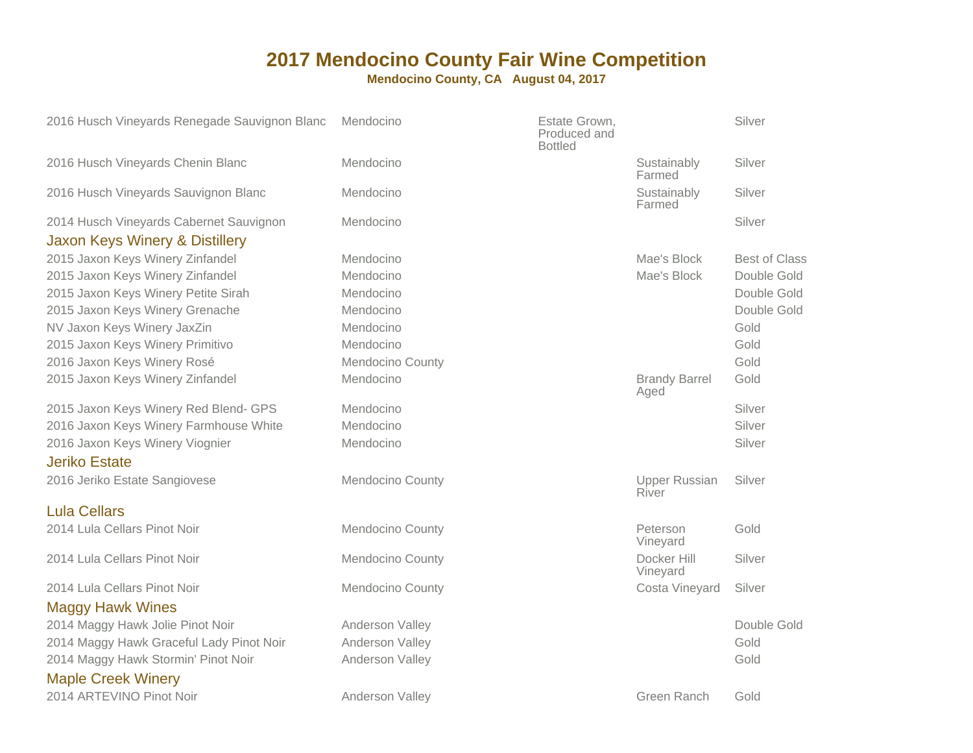| 2016 Husch Vineyards Renegade Sauvignon Blanc           | Mendocino        | Estate Grown,<br>Produced and<br><b>Bottled</b> |                               | Silver               |
|---------------------------------------------------------|------------------|-------------------------------------------------|-------------------------------|----------------------|
| 2016 Husch Vineyards Chenin Blanc                       | Mendocino        |                                                 | Sustainably<br>Farmed         | Silver               |
| 2016 Husch Vineyards Sauvignon Blanc                    | Mendocino        |                                                 | Sustainably<br>Farmed         | Silver               |
| 2014 Husch Vineyards Cabernet Sauvignon                 | Mendocino        |                                                 |                               | Silver               |
| Jaxon Keys Winery & Distillery                          |                  |                                                 |                               |                      |
| 2015 Jaxon Keys Winery Zinfandel                        | Mendocino        |                                                 | Mae's Block                   | <b>Best of Class</b> |
| 2015 Jaxon Keys Winery Zinfandel                        | Mendocino        |                                                 | Mae's Block                   | Double Gold          |
| 2015 Jaxon Keys Winery Petite Sirah                     | Mendocino        |                                                 |                               | Double Gold          |
| 2015 Jaxon Keys Winery Grenache                         | Mendocino        |                                                 |                               | Double Gold          |
| NV Jaxon Keys Winery JaxZin                             | Mendocino        |                                                 |                               | Gold                 |
| 2015 Jaxon Keys Winery Primitivo                        | Mendocino        |                                                 |                               | Gold                 |
| 2016 Jaxon Keys Winery Rosé                             | Mendocino County |                                                 |                               | Gold                 |
| 2015 Jaxon Keys Winery Zinfandel                        | Mendocino        |                                                 | <b>Brandy Barrel</b><br>Aged  | Gold                 |
| 2015 Jaxon Keys Winery Red Blend- GPS                   | Mendocino        |                                                 |                               | Silver               |
| 2016 Jaxon Keys Winery Farmhouse White                  | Mendocino        |                                                 |                               | Silver               |
| 2016 Jaxon Keys Winery Viognier<br><b>Jeriko Estate</b> | Mendocino        |                                                 |                               | Silver               |
| 2016 Jeriko Estate Sangiovese                           | Mendocino County |                                                 | <b>Upper Russian</b><br>River | Silver               |
| <b>Lula Cellars</b>                                     |                  |                                                 |                               |                      |
| 2014 Lula Cellars Pinot Noir                            | Mendocino County |                                                 | Peterson<br>Vineyard          | Gold                 |
| 2014 Lula Cellars Pinot Noir                            | Mendocino County |                                                 | Docker Hill<br>Vineyard       | Silver               |
| 2014 Lula Cellars Pinot Noir                            | Mendocino County |                                                 | Costa Vineyard                | Silver               |
| <b>Maggy Hawk Wines</b>                                 |                  |                                                 |                               |                      |
| 2014 Maggy Hawk Jolie Pinot Noir                        | Anderson Valley  |                                                 |                               | Double Gold          |
| 2014 Maggy Hawk Graceful Lady Pinot Noir                | Anderson Valley  |                                                 |                               | Gold                 |
| 2014 Maggy Hawk Stormin' Pinot Noir                     | Anderson Valley  |                                                 |                               | Gold                 |
| <b>Maple Creek Winery</b>                               |                  |                                                 |                               |                      |
| 2014 ARTEVINO Pinot Noir                                | Anderson Valley  |                                                 | Green Ranch                   | Gold                 |
|                                                         |                  |                                                 |                               |                      |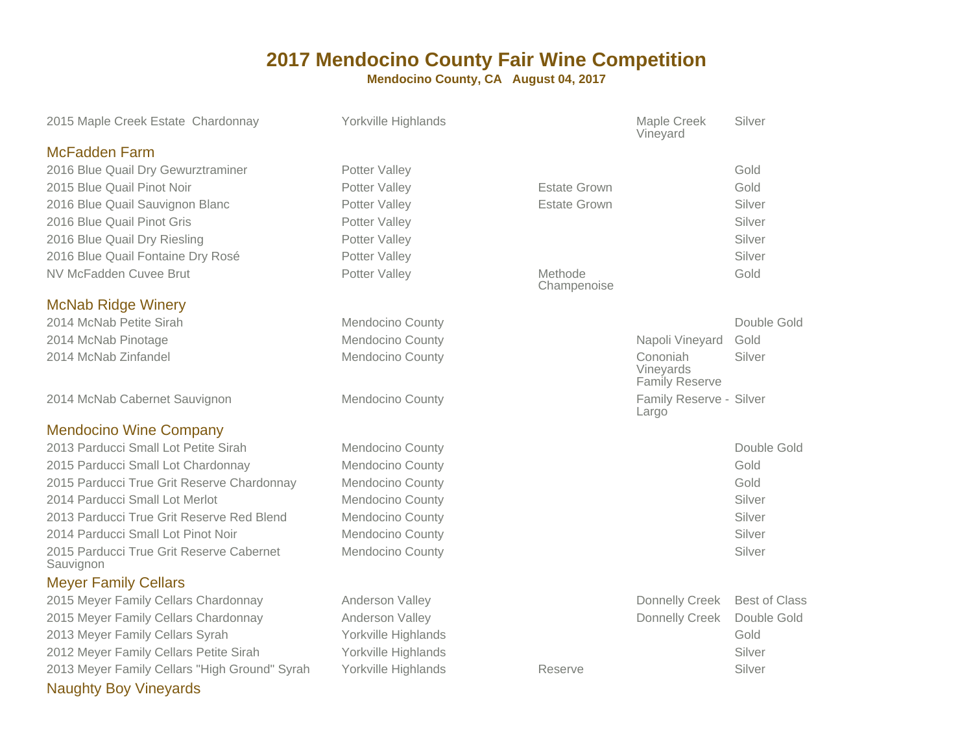| 2015 Maple Creek Estate Chardonnay                    | Yorkville Highlands     |                        | Maple Creek<br>Vineyard                        | Silver               |
|-------------------------------------------------------|-------------------------|------------------------|------------------------------------------------|----------------------|
| <b>McFadden Farm</b>                                  |                         |                        |                                                |                      |
| 2016 Blue Quail Dry Gewurztraminer                    | Potter Valley           |                        |                                                | Gold                 |
| 2015 Blue Quail Pinot Noir                            | Potter Valley           | <b>Estate Grown</b>    |                                                | Gold                 |
| 2016 Blue Quail Sauvignon Blanc                       | Potter Valley           | <b>Estate Grown</b>    |                                                | Silver               |
| 2016 Blue Quail Pinot Gris                            | Potter Valley           |                        |                                                | Silver               |
| 2016 Blue Quail Dry Riesling                          | Potter Valley           |                        |                                                | Silver               |
| 2016 Blue Quail Fontaine Dry Rosé                     | Potter Valley           |                        |                                                | Silver               |
| NV McFadden Cuvee Brut                                | Potter Valley           | Methode<br>Champenoise |                                                | Gold                 |
| <b>McNab Ridge Winery</b>                             |                         |                        |                                                |                      |
| 2014 McNab Petite Sirah                               | Mendocino County        |                        |                                                | Double Gold          |
| 2014 McNab Pinotage                                   | <b>Mendocino County</b> |                        | Napoli Vineyard                                | Gold                 |
| 2014 McNab Zinfandel                                  | <b>Mendocino County</b> |                        | Cononiah<br>Vineyards<br><b>Family Reserve</b> | Silver               |
| 2014 McNab Cabernet Sauvignon                         | Mendocino County        |                        | Family Reserve - Silver<br>Largo               |                      |
| <b>Mendocino Wine Company</b>                         |                         |                        |                                                |                      |
| 2013 Parducci Small Lot Petite Sirah                  | <b>Mendocino County</b> |                        |                                                | Double Gold          |
| 2015 Parducci Small Lot Chardonnay                    | <b>Mendocino County</b> |                        |                                                | Gold                 |
| 2015 Parducci True Grit Reserve Chardonnay            | Mendocino County        |                        |                                                | Gold                 |
| 2014 Parducci Small Lot Merlot                        | <b>Mendocino County</b> |                        |                                                | Silver               |
| 2013 Parducci True Grit Reserve Red Blend             | <b>Mendocino County</b> |                        |                                                | Silver               |
| 2014 Parducci Small Lot Pinot Noir                    | Mendocino County        |                        |                                                | Silver               |
| 2015 Parducci True Grit Reserve Cabernet<br>Sauvignon | <b>Mendocino County</b> |                        |                                                | Silver               |
| <b>Meyer Family Cellars</b>                           |                         |                        |                                                |                      |
| 2015 Meyer Family Cellars Chardonnay                  | Anderson Valley         |                        | Donnelly Creek                                 | <b>Best of Class</b> |
| 2015 Meyer Family Cellars Chardonnay                  | Anderson Valley         |                        | Donnelly Creek                                 | Double Gold          |
| 2013 Meyer Family Cellars Syrah                       | Yorkville Highlands     |                        |                                                | Gold                 |
| 2012 Meyer Family Cellars Petite Sirah                | Yorkville Highlands     |                        |                                                | Silver               |
| 2013 Meyer Family Cellars "High Ground" Syrah         | Yorkville Highlands     | Reserve                |                                                | Silver               |
| <b>Naughty Boy Vineyards</b>                          |                         |                        |                                                |                      |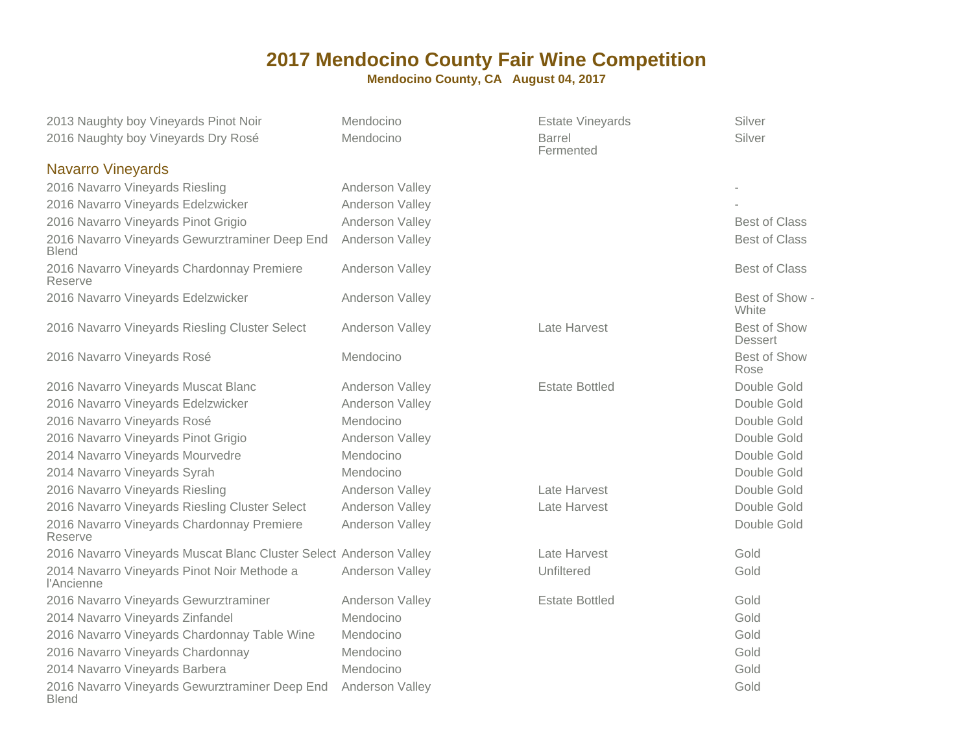| 2013 Naughty boy Vineyards Pinot Noir                              | Mendocino       | <b>Estate Vineyards</b>    | Silver                         |
|--------------------------------------------------------------------|-----------------|----------------------------|--------------------------------|
| 2016 Naughty boy Vineyards Dry Rosé                                | Mendocino       | <b>Barrel</b><br>Fermented | Silver                         |
| <b>Navarro Vineyards</b>                                           |                 |                            |                                |
| 2016 Navarro Vineyards Riesling                                    | Anderson Valley |                            |                                |
| 2016 Navarro Vineyards Edelzwicker                                 | Anderson Valley |                            |                                |
| 2016 Navarro Vineyards Pinot Grigio                                | Anderson Valley |                            | <b>Best of Class</b>           |
| 2016 Navarro Vineyards Gewurztraminer Deep End<br><b>Blend</b>     | Anderson Valley |                            | <b>Best of Class</b>           |
| 2016 Navarro Vineyards Chardonnay Premiere<br>Reserve              | Anderson Valley |                            | <b>Best of Class</b>           |
| 2016 Navarro Vineyards Edelzwicker                                 | Anderson Valley |                            | Best of Show -<br>White        |
| 2016 Navarro Vineyards Riesling Cluster Select                     | Anderson Valley | Late Harvest               | Best of Show<br><b>Dessert</b> |
| 2016 Navarro Vineyards Rosé                                        | Mendocino       |                            | Best of Show<br>Rose           |
| 2016 Navarro Vineyards Muscat Blanc                                | Anderson Valley | <b>Estate Bottled</b>      | Double Gold                    |
| 2016 Navarro Vineyards Edelzwicker                                 | Anderson Valley |                            | Double Gold                    |
| 2016 Navarro Vineyards Rosé                                        | Mendocino       |                            | Double Gold                    |
| 2016 Navarro Vineyards Pinot Grigio                                | Anderson Valley |                            | Double Gold                    |
| 2014 Navarro Vineyards Mourvedre                                   | Mendocino       |                            | Double Gold                    |
| 2014 Navarro Vineyards Syrah                                       | Mendocino       |                            | Double Gold                    |
| 2016 Navarro Vineyards Riesling                                    | Anderson Valley | Late Harvest               | Double Gold                    |
| 2016 Navarro Vineyards Riesling Cluster Select                     | Anderson Valley | Late Harvest               | Double Gold                    |
| 2016 Navarro Vineyards Chardonnay Premiere<br>Reserve              | Anderson Valley |                            | Double Gold                    |
| 2016 Navarro Vineyards Muscat Blanc Cluster Select Anderson Valley |                 | Late Harvest               | Gold                           |
| 2014 Navarro Vineyards Pinot Noir Methode a<br>l'Ancienne          | Anderson Valley | Unfiltered                 | Gold                           |
| 2016 Navarro Vineyards Gewurztraminer                              | Anderson Valley | <b>Estate Bottled</b>      | Gold                           |
| 2014 Navarro Vineyards Zinfandel                                   | Mendocino       |                            | Gold                           |
| 2016 Navarro Vineyards Chardonnay Table Wine                       | Mendocino       |                            | Gold                           |
| 2016 Navarro Vineyards Chardonnay                                  | Mendocino       |                            | Gold                           |
| 2014 Navarro Vineyards Barbera                                     | Mendocino       |                            | Gold                           |
| 2016 Navarro Vineyards Gewurztraminer Deep End<br><b>Blend</b>     | Anderson Valley |                            | Gold                           |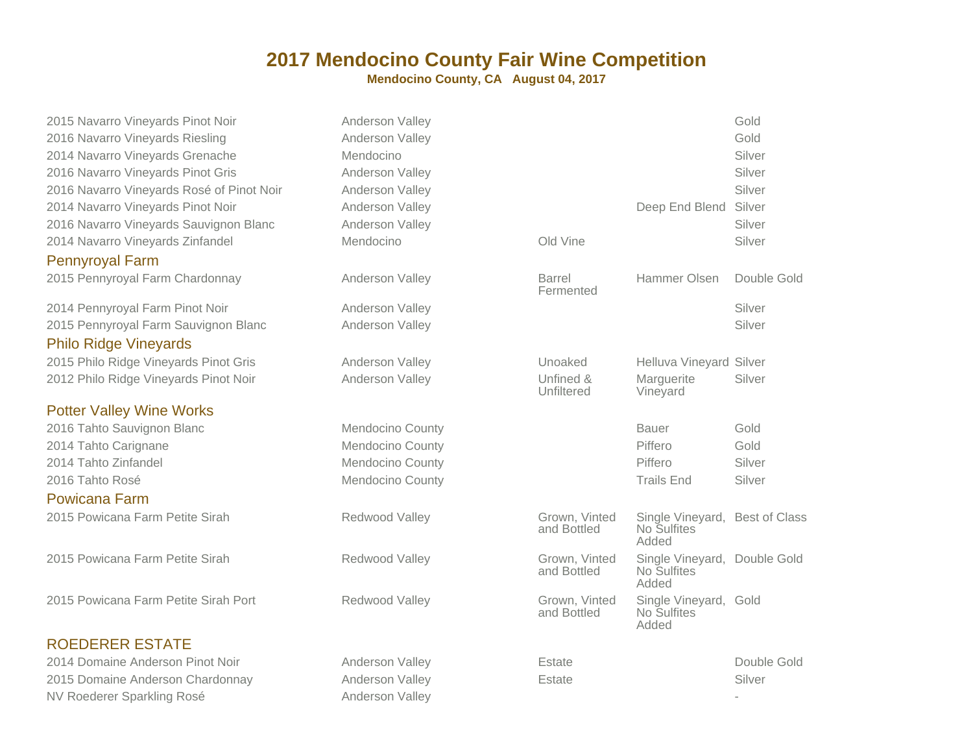| 2015 Navarro Vineyards Pinot Noir         | Anderson Valley         |                              |                                                        | Gold        |
|-------------------------------------------|-------------------------|------------------------------|--------------------------------------------------------|-------------|
| 2016 Navarro Vineyards Riesling           | Anderson Valley         |                              |                                                        | Gold        |
| 2014 Navarro Vineyards Grenache           | Mendocino               |                              |                                                        | Silver      |
| 2016 Navarro Vineyards Pinot Gris         | Anderson Valley         |                              |                                                        | Silver      |
| 2016 Navarro Vineyards Rosé of Pinot Noir | Anderson Valley         |                              |                                                        | Silver      |
| 2014 Navarro Vineyards Pinot Noir         | Anderson Valley         |                              | Deep End Blend                                         | Silver      |
| 2016 Navarro Vineyards Sauvignon Blanc    | Anderson Valley         |                              |                                                        | Silver      |
| 2014 Navarro Vineyards Zinfandel          | Mendocino               | Old Vine                     |                                                        | Silver      |
| <b>Pennyroyal Farm</b>                    |                         |                              |                                                        |             |
| 2015 Pennyroyal Farm Chardonnay           | Anderson Valley         | <b>Barrel</b><br>Fermented   | <b>Hammer Olsen</b>                                    | Double Gold |
| 2014 Pennyroyal Farm Pinot Noir           | Anderson Valley         |                              |                                                        | Silver      |
| 2015 Pennyroyal Farm Sauvignon Blanc      | Anderson Valley         |                              |                                                        | Silver      |
| <b>Philo Ridge Vineyards</b>              |                         |                              |                                                        |             |
| 2015 Philo Ridge Vineyards Pinot Gris     | Anderson Valley         | Unoaked                      | <b>Helluva Vineyard Silver</b>                         |             |
| 2012 Philo Ridge Vineyards Pinot Noir     | Anderson Valley         | Unfined &<br>Unfiltered      | Marguerite<br>Vineyard                                 | Silver      |
| <b>Potter Valley Wine Works</b>           |                         |                              |                                                        |             |
| 2016 Tahto Sauvignon Blanc                | Mendocino County        |                              | <b>Bauer</b>                                           | Gold        |
| 2014 Tahto Carignane                      | <b>Mendocino County</b> |                              | Piffero                                                | Gold        |
| 2014 Tahto Zinfandel                      | Mendocino County        |                              | Piffero                                                | Silver      |
| 2016 Tahto Rosé                           | <b>Mendocino County</b> |                              | <b>Trails End</b>                                      | Silver      |
| <b>Powicana Farm</b>                      |                         |                              |                                                        |             |
| 2015 Powicana Farm Petite Sirah           | Redwood Valley          | Grown, Vinted<br>and Bottled | Single Vineyard, Best of Class<br>No Sulfites<br>Added |             |
| 2015 Powicana Farm Petite Sirah           | Redwood Valley          | Grown, Vinted<br>and Bottled | Single Vineyard, Double Gold<br>No Sulfites<br>Added   |             |
| 2015 Powicana Farm Petite Sirah Port      | Redwood Valley          | Grown, Vinted<br>and Bottled | Single Vineyard, Gold<br>No Sulfites<br>Added          |             |
| <b>ROEDERER ESTATE</b>                    |                         |                              |                                                        |             |
| 2014 Domaine Anderson Pinot Noir          | Anderson Valley         | Estate                       |                                                        | Double Gold |
| 2015 Domaine Anderson Chardonnay          | Anderson Valley         | <b>Estate</b>                |                                                        | Silver      |
| NV Roederer Sparkling Rosé                | Anderson Valley         |                              |                                                        |             |
|                                           |                         |                              |                                                        |             |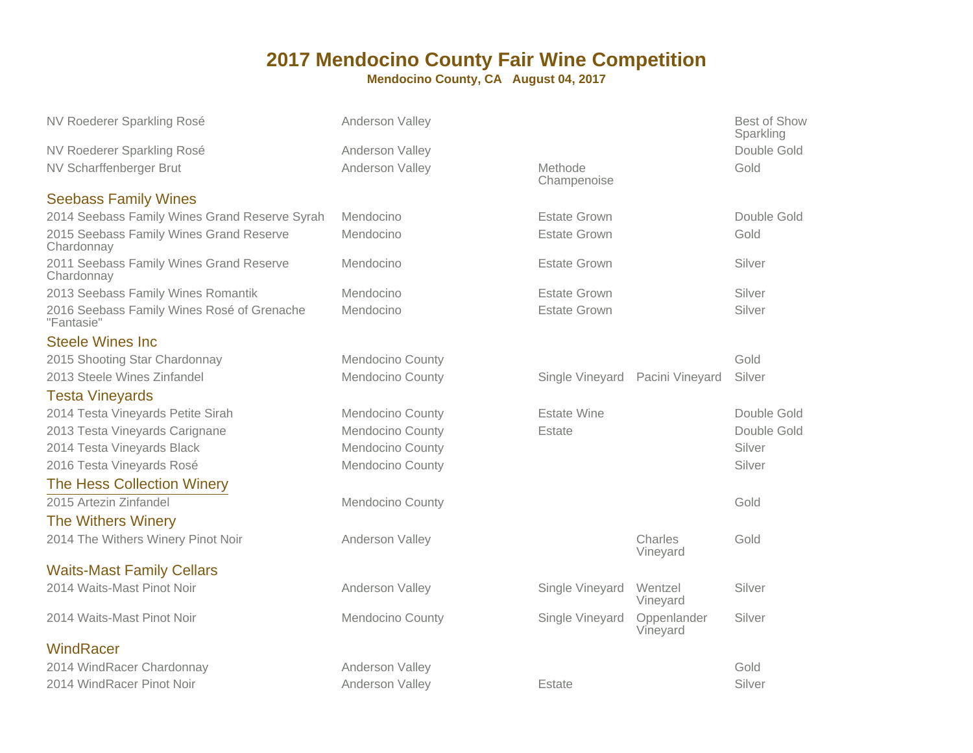| NV Roederer Sparkling Rosé                               | Anderson Valley         |                                 |                         | Best of Show<br>Sparkling |
|----------------------------------------------------------|-------------------------|---------------------------------|-------------------------|---------------------------|
| NV Roederer Sparkling Rosé                               | Anderson Valley         |                                 |                         | Double Gold               |
| NV Scharffenberger Brut                                  | Anderson Valley         | <b>Methode</b><br>Champenoise   |                         | Gold                      |
| <b>Seebass Family Wines</b>                              |                         |                                 |                         |                           |
| 2014 Seebass Family Wines Grand Reserve Syrah            | Mendocino               | <b>Estate Grown</b>             |                         | Double Gold               |
| 2015 Seebass Family Wines Grand Reserve<br>Chardonnay    | Mendocino               | <b>Estate Grown</b>             |                         | Gold                      |
| 2011 Seebass Family Wines Grand Reserve<br>Chardonnay    | Mendocino               | <b>Estate Grown</b>             |                         | Silver                    |
| 2013 Seebass Family Wines Romantik                       | Mendocino               | <b>Estate Grown</b>             |                         | Silver                    |
| 2016 Seebass Family Wines Rosé of Grenache<br>"Fantasie" | Mendocino               | <b>Estate Grown</b>             |                         | Silver                    |
| <b>Steele Wines Inc.</b>                                 |                         |                                 |                         |                           |
| 2015 Shooting Star Chardonnay                            | Mendocino County        |                                 |                         | Gold                      |
| 2013 Steele Wines Zinfandel                              | <b>Mendocino County</b> | Single Vineyard Pacini Vineyard |                         | Silver                    |
| <b>Testa Vineyards</b>                                   |                         |                                 |                         |                           |
| 2014 Testa Vineyards Petite Sirah                        | Mendocino County        | <b>Estate Wine</b>              |                         | Double Gold               |
| 2013 Testa Vineyards Carignane                           | <b>Mendocino County</b> | Estate                          |                         | Double Gold               |
|                                                          |                         |                                 |                         |                           |
| 2014 Testa Vineyards Black                               | <b>Mendocino County</b> |                                 |                         | Silver                    |
| 2016 Testa Vineyards Rosé                                | Mendocino County        |                                 |                         | Silver                    |
| <b>The Hess Collection Winery</b>                        |                         |                                 |                         |                           |
| 2015 Artezin Zinfandel                                   | <b>Mendocino County</b> |                                 |                         | Gold                      |
| <b>The Withers Winery</b>                                |                         |                                 |                         |                           |
| 2014 The Withers Winery Pinot Noir                       | Anderson Valley         |                                 | Charles<br>Vineyard     | Gold                      |
| <b>Waits-Mast Family Cellars</b>                         |                         |                                 |                         |                           |
| 2014 Waits-Mast Pinot Noir                               | Anderson Valley         | Single Vineyard                 | Wentzel<br>Vineyard     | Silver                    |
| 2014 Waits-Mast Pinot Noir                               | <b>Mendocino County</b> | Single Vineyard                 | Oppenlander<br>Vineyard | Silver                    |
| WindRacer                                                |                         |                                 |                         |                           |
| 2014 WindRacer Chardonnay                                | Anderson Valley         |                                 |                         | Gold                      |
| 2014 WindRacer Pinot Noir                                | Anderson Valley         | <b>Estate</b>                   |                         | Silver                    |